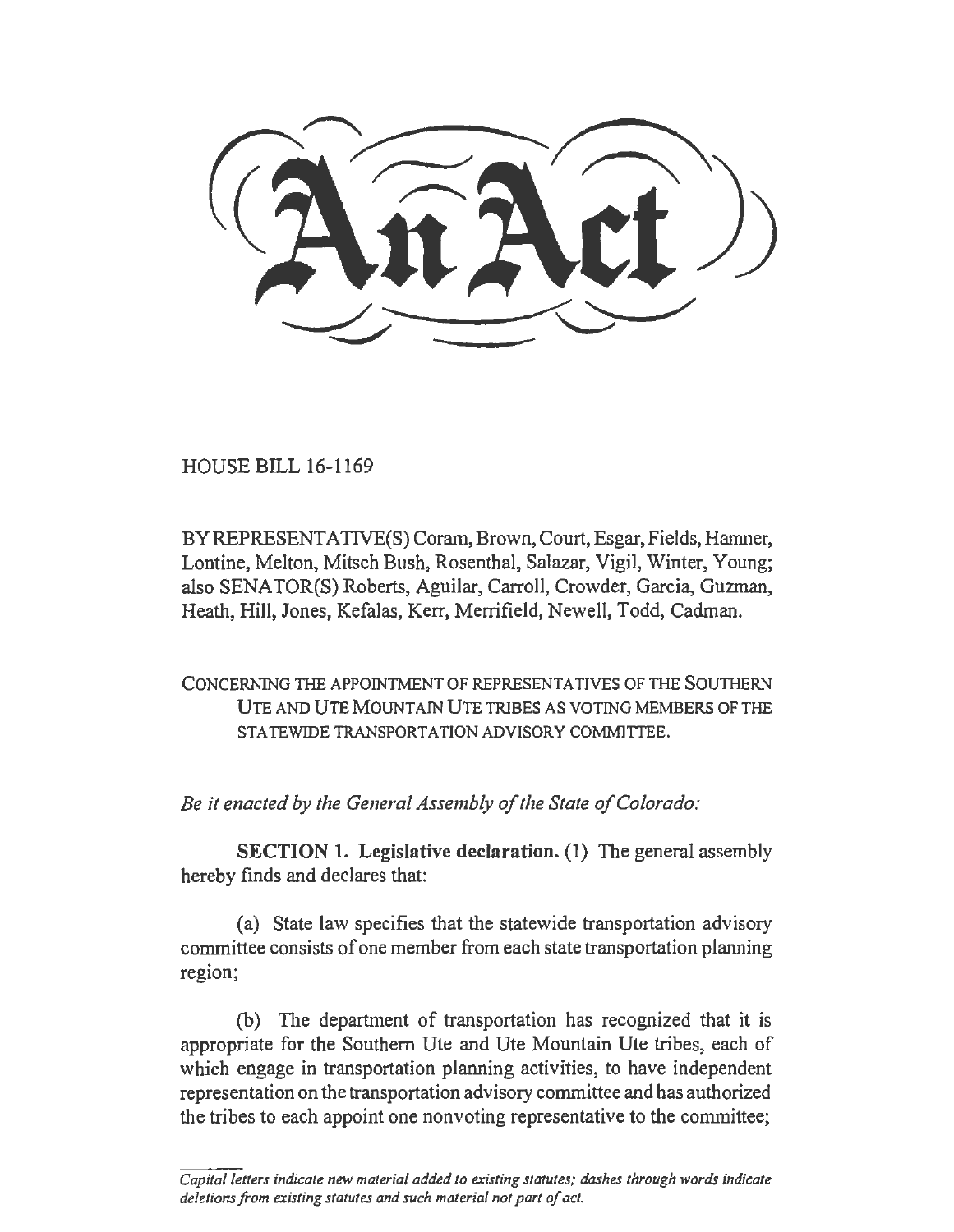HOUSE BILL 16-1169

BY REPRESENTATIVE(S) Coram, Brown, Court, Esgar, Fields, Hamner, Lontine, Melton, Mitsch Bush, Rosenthal, Salazar, Vigil, Winter, Young; also SENATOR(S) Roberts, Aguilar, Carroll, Crowder, Garcia, Guzman, Heath, Hill, Jones, Kefalas, Kerr, Merrifield, Newell, Todd, Cadman.

CONCERNING THE APPOINTMENT OF REPRESENTATIVES OF THE SOUTHERN UTE AND UTE MOUNTAIN UTE TRIBES AS VOTING MEMBERS OF THE STATEWIDE TRANSPORTATION ADVISORY COMMITTEE.

*Be it enacted by the General Assembly of the State of Colorado:* 

SECTION 1. Legislative declaration. (1) The general assembly hereby finds and declares that:

(a) State law specifies that the statewide transportation advisory committee consists of one member from each state transportation planning region;

(b) The department of transportation has recognized that it is appropriate for the Southern Ute and Ute Mountain Ute tribes, each of which engage in transportation planning activities, to have independent representation on the transportation advisory committee and has authorized the tribes to each appoint one nonvoting representative to the committee;

*Capital letters indicate new material added to existing statutes; dashes through words indicate deletions from existing statutes and such material not part of act.*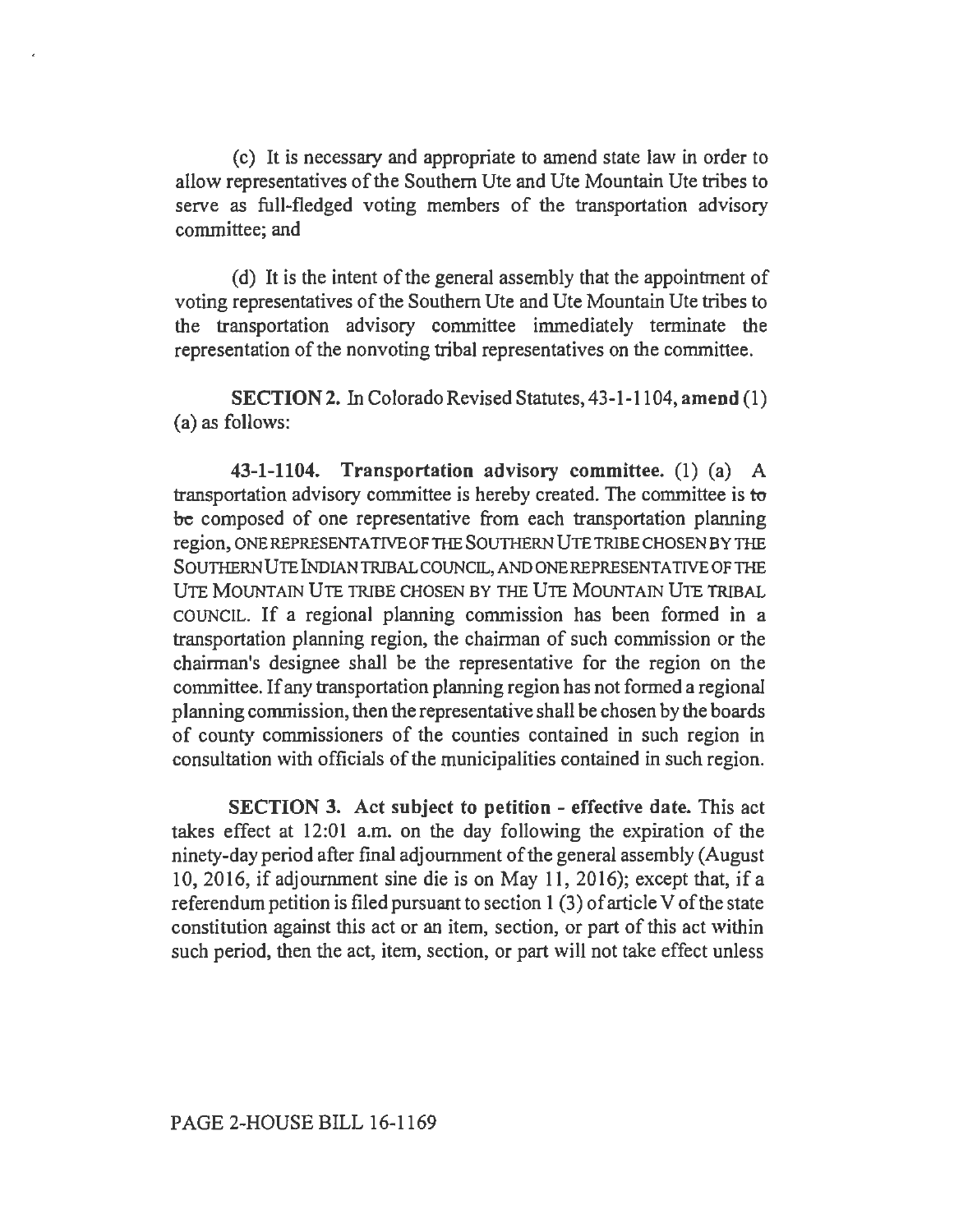( c) It is necessary and appropriate to amend state law in order to allow representatives of the Southern Ute and Ute Mountain Ute tribes to serve as full-fledged voting members of the transportation advisory committee; and

(d) It is the intent of the general assembly that the appointment of voting representatives of the Southern Ute and Ute Mountain Ute tribes to the transportation advisory committee immediately terminate the representation of the nonvoting tribal representatives on the committee.

SECTION 2. In Colorado Revised Statutes, 43-1-1104, amend (1) (a) as follows:

43-1-1104. Transportation advisory committee. (1) (a) A transportation advisory committee is hereby created. The committee is to be composed of one representative from each transportation planning region, ONE REPRESENTATIVE OF TIIE SOUTHERN UTE TRIBE CHOSEN BY THE SOUTHERN UTE lNDIANTRIBAL COUNCIL, AND ONE REPRESENTATIVE OF THE UTE MOUNTAIN UTE TRIBE CHOSEN BY THE UTE MOUNTAIN UTE TRIBAL COUNCIL. If a regional planning commission has been formed in a transportation planning region, the chairman of such commission or the chairman's designee shall be the representative for the region on the committee. If any transportation planning region has not formed a regional planning commission, then the representative shall be chosen by the boards of county commissioners of the counties contained in such region in consultation with officials of the municipalities contained in such region.

SECTION 3. Act subject to petition - effective date. This act takes effect at 12:01 a.m. on the day following the expiration of the ninety-day period after final adjournment of the general assembly (August 10, 2016, if adjournment sine die is on May 11, 2016); except that, if a referendum petition is filed pursuant to section 1 (3) of article V of the state constitution against this act or an item, section, or part of this act within such period, then the act, item, section, or part will not take effect unless